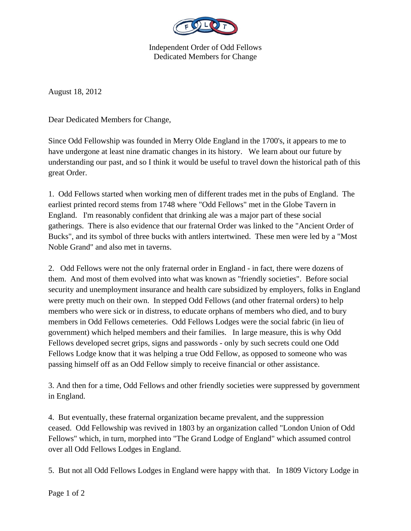

Independent Order of Odd Fellows Dedicated Members for Change

August 18, 2012

Dear Dedicated Members for Change,

Since Odd Fellowship was founded in Merry Olde England in the 1700's, it appears to me to have undergone at least nine dramatic changes in its history. We learn about our future by understanding our past, and so I think it would be useful to travel down the historical path of this great Order.

1. Odd Fellows started when working men of different trades met in the pubs of England. The earliest printed record stems from 1748 where "Odd Fellows" met in the Globe Tavern in England. I'm reasonably confident that drinking ale was a major part of these social gatherings. There is also evidence that our fraternal Order was linked to the "Ancient Order of Bucks", and its symbol of three bucks with antlers intertwined. These men were led by a "Most Noble Grand" and also met in taverns.

2. Odd Fellows were not the only fraternal order in England - in fact, there were dozens of them. And most of them evolved into what was known as "friendly societies". Before social security and unemployment insurance and health care subsidized by employers, folks in England were pretty much on their own. In stepped Odd Fellows (and other fraternal orders) to help members who were sick or in distress, to educate orphans of members who died, and to bury members in Odd Fellows cemeteries. Odd Fellows Lodges were the social fabric (in lieu of government) which helped members and their families. In large measure, this is why Odd Fellows developed secret grips, signs and passwords - only by such secrets could one Odd Fellows Lodge know that it was helping a true Odd Fellow, as opposed to someone who was passing himself off as an Odd Fellow simply to receive financial or other assistance.

3. And then for a time, Odd Fellows and other friendly societies were suppressed by government in England.

4. But eventually, these fraternal organization became prevalent, and the suppression ceased. Odd Fellowship was revived in 1803 by an organization called "London Union of Odd Fellows" which, in turn, morphed into "The Grand Lodge of England" which assumed control over all Odd Fellows Lodges in England.

5. But not all Odd Fellows Lodges in England were happy with that. In 1809 Victory Lodge in